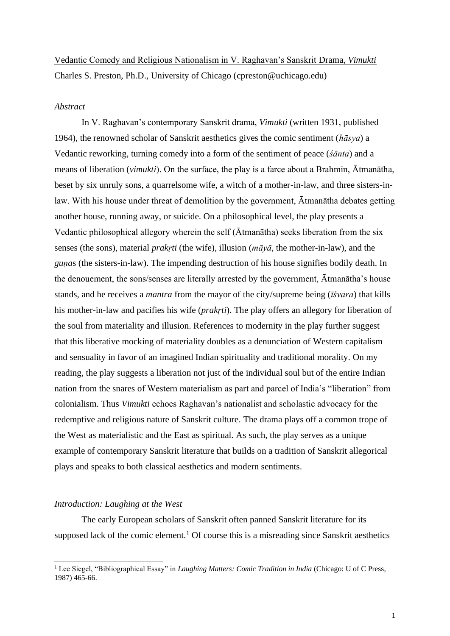Vedantic Comedy and Religious Nationalism in V. Raghavan's Sanskrit Drama, *Vimukti* Charles S. Preston, Ph.D., University of Chicago (cpreston@uchicago.edu)

# *Abstract*

In V. Raghavan's contemporary Sanskrit drama, *Vimukti* (written 1931, published 1964), the renowned scholar of Sanskrit aesthetics gives the comic sentiment (*hāsya*) a Vedantic reworking, turning comedy into a form of the sentiment of peace (*śānta*) and a means of liberation (*vimukti*). On the surface, the play is a farce about a Brahmin, Ātmanātha, beset by six unruly sons, a quarrelsome wife, a witch of a mother-in-law, and three sisters-inlaw. With his house under threat of demolition by the government, Ātmanātha debates getting another house, running away, or suicide. On a philosophical level, the play presents a Vedantic philosophical allegory wherein the self (Ātmanātha) seeks liberation from the six senses (the sons), material *prakṛti* (the wife), illusion (*māyā*, the mother-in-law), and the *guṇa*s (the sisters-in-law). The impending destruction of his house signifies bodily death. In the denouement, the sons/senses are literally arrested by the government, Ātmanātha's house stands, and he receives a *mantra* from the mayor of the city/supreme being (*īśvara*) that kills his mother-in-law and pacifies his wife (*prakṛti*). The play offers an allegory for liberation of the soul from materiality and illusion. References to modernity in the play further suggest that this liberative mocking of materiality doubles as a denunciation of Western capitalism and sensuality in favor of an imagined Indian spirituality and traditional morality. On my reading, the play suggests a liberation not just of the individual soul but of the entire Indian nation from the snares of Western materialism as part and parcel of India's "liberation" from colonialism. Thus *Vimukti* echoes Raghavan's nationalist and scholastic advocacy for the redemptive and religious nature of Sanskrit culture. The drama plays off a common trope of the West as materialistic and the East as spiritual. As such, the play serves as a unique example of contemporary Sanskrit literature that builds on a tradition of Sanskrit allegorical plays and speaks to both classical aesthetics and modern sentiments.

#### *Introduction: Laughing at the West*

The early European scholars of Sanskrit often panned Sanskrit literature for its supposed lack of the comic element.<sup>1</sup> Of course this is a misreading since Sanskrit aesthetics

<sup>&</sup>lt;sup>1</sup> Lee Siegel, "Bibliographical Essay" in *Laughing Matters: Comic Tradition in India* (Chicago: U of C Press, 1987) 465-66.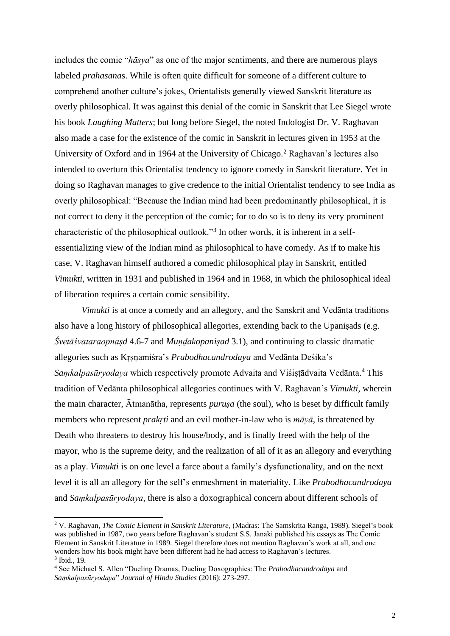includes the comic "*hāsya*" as one of the major sentiments, and there are numerous plays labeled *prahasana*s. While is often quite difficult for someone of a different culture to comprehend another culture's jokes, Orientalists generally viewed Sanskrit literature as overly philosophical. It was against this denial of the comic in Sanskrit that Lee Siegel wrote his book *Laughing Matters*; but long before Siegel, the noted Indologist Dr. V. Raghavan also made a case for the existence of the comic in Sanskrit in lectures given in 1953 at the University of Oxford and in 1964 at the University of Chicago.<sup>2</sup> Raghavan's lectures also intended to overturn this Orientalist tendency to ignore comedy in Sanskrit literature. Yet in doing so Raghavan manages to give credence to the initial Orientalist tendency to see India as overly philosophical: "Because the Indian mind had been predominantly philosophical, it is not correct to deny it the perception of the comic; for to do so is to deny its very prominent characteristic of the philosophical outlook."<sup>3</sup> In other words, it is inherent in a selfessentializing view of the Indian mind as philosophical to have comedy. As if to make his case, V. Raghavan himself authored a comedic philosophical play in Sanskrit, entitled *Vimukti*, written in 1931 and published in 1964 and in 1968, in which the philosophical ideal of liberation requires a certain comic sensibility.

*Vimukti* is at once a comedy and an allegory, and the Sanskrit and Vedānta traditions also have a long history of philosophical allegories, extending back to the Upaniṣads (e.g. *Śvetāśvataraopnaṣd* 4.6-7 and *Muṇḍakopaniṣad* 3.1), and continuing to classic dramatic allegories such as Kṛṣṇamiśra's *Prabodhacandrodaya* and Vedānta Deśika's *Saṃkalpasūryodaya* which respectively promote Advaita and Viśiṣṭādvaita Vedānta. <sup>4</sup> This tradition of Vedānta philosophical allegories continues with V. Raghavan's *Vimukti*, wherein the main character,  $\bar{A}$ tmanātha, represents *purusa* (the soul), who is beset by difficult family members who represent *prakṛti* and an evil mother-in-law who is *māyā*, is threatened by Death who threatens to destroy his house/body, and is finally freed with the help of the mayor, who is the supreme deity, and the realization of all of it as an allegory and everything as a play. *Vimukti* is on one level a farce about a family's dysfunctionality, and on the next level it is all an allegory for the self's enmeshment in materiality. Like *Prabodhacandrodaya*  and *Saṃkalpasūryodaya*, there is also a doxographical concern about different schools of

<sup>2</sup> V. Raghavan, *The Comic Element in Sanskrit Literature*, (Madras: The Samskrita Ranga, 1989). Siegel's book was published in 1987, two years before Raghavan's student S.S. Janaki published his essays as The Comic Element in Sanskrit Literature in 1989. Siegel therefore does not mention Raghavan's work at all, and one wonders how his book might have been different had he had access to Raghavan's lectures. 3 Ibid., 19.

<sup>4</sup> See Michael S. Allen "Dueling Dramas, Dueling Doxographies: The *Prabodhacandrodaya* and *Saṃkalpasūryodaya*" *Journal of Hindu Studies* (2016): 273-297.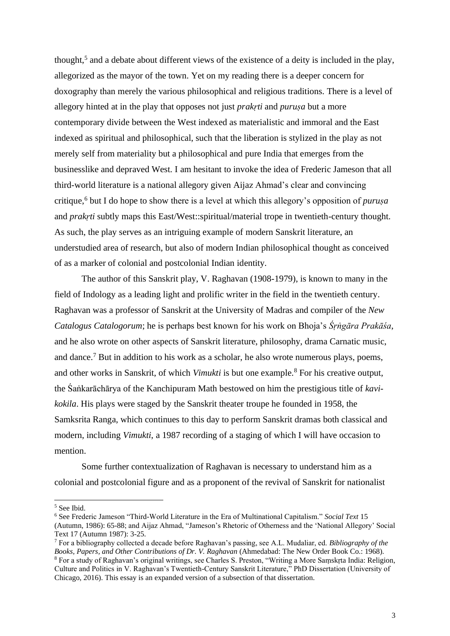thought,<sup>5</sup> and a debate about different views of the existence of a deity is included in the play, allegorized as the mayor of the town. Yet on my reading there is a deeper concern for doxography than merely the various philosophical and religious traditions. There is a level of allegory hinted at in the play that opposes not just *prakṛti* and *puruṣa* but a more contemporary divide between the West indexed as materialistic and immoral and the East indexed as spiritual and philosophical, such that the liberation is stylized in the play as not merely self from materiality but a philosophical and pure India that emerges from the businesslike and depraved West. I am hesitant to invoke the idea of Frederic Jameson that all third-world literature is a national allegory given Aijaz Ahmad's clear and convincing critique,<sup>6</sup> but I do hope to show there is a level at which this allegory's opposition of *puruṣa* and *prakṛti* subtly maps this East/West::spiritual/material trope in twentieth-century thought. As such, the play serves as an intriguing example of modern Sanskrit literature, an understudied area of research, but also of modern Indian philosophical thought as conceived of as a marker of colonial and postcolonial Indian identity.

The author of this Sanskrit play, V. Raghavan (1908-1979), is known to many in the field of Indology as a leading light and prolific writer in the field in the twentieth century. Raghavan was a professor of Sanskrit at the University of Madras and compiler of the *New Catalogus Catalogorum*; he is perhaps best known for his work on Bhoja's *Śṛṅgāra Prakāśa*, and he also wrote on other aspects of Sanskrit literature, philosophy, drama Carnatic music, and dance.<sup>7</sup> But in addition to his work as a scholar, he also wrote numerous plays, poems, and other works in Sanskrit, of which *Vimukti* is but one example.<sup>8</sup> For his creative output, the Śaṅkarāchārya of the Kanchipuram Math bestowed on him the prestigious title of *kavikokila*. His plays were staged by the Sanskrit theater troupe he founded in 1958, the Samksrita Ranga, which continues to this day to perform Sanskrit dramas both classical and modern, including *Vimukti*, a 1987 recording of a staging of which I will have occasion to mention.

Some further contextualization of Raghavan is necessary to understand him as a colonial and postcolonial figure and as a proponent of the revival of Sanskrit for nationalist

<sup>5</sup> See Ibid.

<sup>6</sup> See Frederic Jameson "Third-World Literature in the Era of Multinational Capitalism." *Social Text* 15 (Autumn, 1986): 65-88; and Aijaz Ahmad, "Jameson's Rhetoric of Otherness and the 'National Allegory' Social Text 17 (Autumn 1987): 3-25.

<sup>7</sup> For a bibliography collected a decade before Raghavan's passing, see A.L. Mudaliar, ed. *Bibliography of the Books, Papers, and Other Contributions of Dr. V. Raghavan* (Ahmedabad: The New Order Book Co.: 1968). <sup>8</sup> For a study of Raghavan's original writings, see Charles S. Preston, "Writing a More Saṃskṛta India: Religion, Culture and Politics in V. Raghavan's Twentieth-Century Sanskrit Literature," PhD Dissertation (University of Chicago, 2016). This essay is an expanded version of a subsection of that dissertation.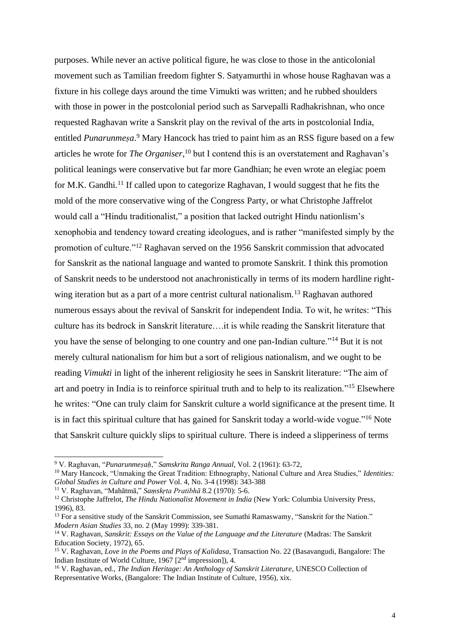purposes. While never an active political figure, he was close to those in the anticolonial movement such as Tamilian freedom fighter S. Satyamurthi in whose house Raghavan was a fixture in his college days around the time Vimukti was written; and he rubbed shoulders with those in power in the postcolonial period such as Sarvepalli Radhakrishnan, who once requested Raghavan write a Sanskrit play on the revival of the arts in postcolonial India, entitled *Punarunmeṣa*. <sup>9</sup> Mary Hancock has tried to paint him as an RSS figure based on a few articles he wrote for *The Organiser*, <sup>10</sup> but I contend this is an overstatement and Raghavan's political leanings were conservative but far more Gandhian; he even wrote an elegiac poem for M.K. Gandhi.<sup>11</sup> If called upon to categorize Raghavan, I would suggest that he fits the mold of the more conservative wing of the Congress Party, or what Christophe Jaffrelot would call a "Hindu traditionalist," a position that lacked outright Hindu nationlism's xenophobia and tendency toward creating ideologues, and is rather "manifested simply by the promotion of culture."<sup>12</sup> Raghavan served on the 1956 Sanskrit commission that advocated for Sanskrit as the national language and wanted to promote Sanskrit. I think this promotion of Sanskrit needs to be understood not anachronistically in terms of its modern hardline rightwing iteration but as a part of a more centrist cultural nationalism.<sup>13</sup> Raghavan authored numerous essays about the revival of Sanskrit for independent India. To wit, he writes: "This culture has its bedrock in Sanskrit literature….it is while reading the Sanskrit literature that you have the sense of belonging to one country and one pan-Indian culture."<sup>14</sup> But it is not merely cultural nationalism for him but a sort of religious nationalism, and we ought to be reading *Vimukti* in light of the inherent religiosity he sees in Sanskrit literature: "The aim of art and poetry in India is to reinforce spiritual truth and to help to its realization."<sup>15</sup> Elsewhere he writes: "One can truly claim for Sanskrit culture a world significance at the present time. It is in fact this spiritual culture that has gained for Sanskrit today a world-wide vogue."<sup>16</sup> Note that Sanskrit culture quickly slips to spiritual culture. There is indeed a slipperiness of terms

<sup>9</sup> V. Raghavan, "*Punarunmeṣaḥ*," *Samskrita Ranga Annual*, Vol. 2 (1961): 63-72,

<sup>10</sup> Mary Hancock, "Unmaking the Great Tradition: Ethnography, National Culture and Area Studies," *Identities: Global Studies in Culture and Power* Vol. 4, No. 3-4 (1998): 343-388

<sup>11</sup> V. Raghavan, "Mahātmā," *Saṃskṛta Pratibhā* 8.2 (1970): 5-6.

<sup>12</sup> Christophe Jaffrelot, *The Hindu Nationalist Movement in India* (New York: Columbia University Press, 1996), 83.

<sup>&</sup>lt;sup>13</sup> For a sensitive study of the Sanskrit Commission, see Sumathi Ramaswamy, "Sanskrit for the Nation." *Modern Asian Studies* 33, no. 2 (May 1999): 339-381.

<sup>&</sup>lt;sup>14</sup> V. Raghavan, *Sanskrit: Essays on the Value of the Language and the Literature* (Madras: The Sanskrit Education Society, 1972), 65.

<sup>15</sup> V. Raghavan, *Love in the Poems and Plays of Kalidasa*, Transaction No. 22 (Basavangudi, Bangalore: The Indian Institute of World Culture, 1967 [2nd impression]), 4.

<sup>16</sup> V. Raghavan, ed., *The Indian Heritage: An Anthology of Sanskrit Literature*, UNESCO Collection of Representative Works, (Bangalore: The Indian Institute of Culture, 1956), xix.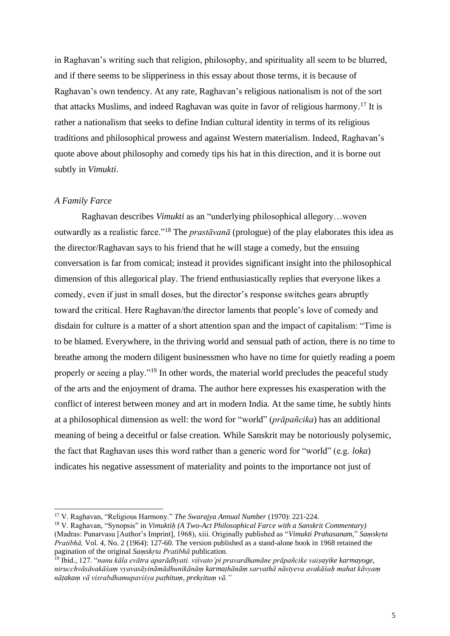in Raghavan's writing such that religion, philosophy, and spirituality all seem to be blurred, and if there seems to be slipperiness in this essay about those terms, it is because of Raghavan's own tendency. At any rate, Raghavan's religious nationalism is not of the sort that attacks Muslims, and indeed Raghavan was quite in favor of religious harmony. <sup>17</sup> It is rather a nationalism that seeks to define Indian cultural identity in terms of its religious traditions and philosophical prowess and against Western materialism. Indeed, Raghavan's quote above about philosophy and comedy tips his hat in this direction, and it is borne out subtly in *Vimukti*.

### *A Family Farce*

Raghavan describes *Vimukti* as an "underlying philosophical allegory…woven outwardly as a realistic farce."<sup>18</sup> The *prastāvanā* (prologue) of the play elaborates this idea as the director/Raghavan says to his friend that he will stage a comedy, but the ensuing conversation is far from comical; instead it provides significant insight into the philosophical dimension of this allegorical play. The friend enthusiastically replies that everyone likes a comedy, even if just in small doses, but the director's response switches gears abruptly toward the critical. Here Raghavan/the director laments that people's love of comedy and disdain for culture is a matter of a short attention span and the impact of capitalism: "Time is to be blamed. Everywhere, in the thriving world and sensual path of action, there is no time to breathe among the modern diligent businessmen who have no time for quietly reading a poem properly or seeing a play."<sup>19</sup> In other words, the material world precludes the peaceful study of the arts and the enjoyment of drama. The author here expresses his exasperation with the conflict of interest between money and art in modern India. At the same time, he subtly hints at a philosophical dimension as well: the word for "world" (*prāpañcika*) has an additional meaning of being a deceitful or false creation. While Sanskrit may be notoriously polysemic, the fact that Raghavan uses this word rather than a generic word for "world" (e.g. *loka*) indicates his negative assessment of materiality and points to the importance not just of

<sup>17</sup> V. Raghavan, "Religious Harmony." *The Swarajya Annual Number* (1970): 221-224.

<sup>18</sup> V. Raghavan, "Synopsis" in *Vimuktiḥ (A Two-Act Philosophical Farce with a Sanskrit Commentary)* (Madras: Punarvasu [Author's Imprint], 1968), xiii. Originally published as "*Vimukti Prahasanam,*" *Saṃskṛta Pratibhā,* Vol. 4, No. 2 (1964): 127-60. The version published as a stand-alone book in 1968 retained the pagination of the original *Saṃskṛta Pratibhā* publication.

<sup>19</sup> Ibid., 127. "*nanu kāla evātra aparādhyati. viśvato'pi pravardhamāne prāpañcike vaiṣayike karmayoge, nirucchvāsāvakāśaṃ vyavasāyināmādhunikānāṃ karmaṭhānāṃ sarvathā nāstyeva avakāśaḥ mahat kāvyaṃ nāṭakaṃ vā visrabdhamupaviśya paṭhituṃ, prekṣituṃ vā."*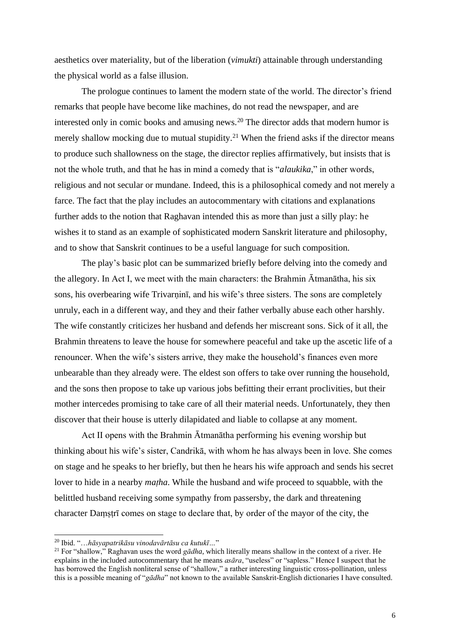aesthetics over materiality, but of the liberation (*vimukti*) attainable through understanding the physical world as a false illusion.

The prologue continues to lament the modern state of the world. The director's friend remarks that people have become like machines, do not read the newspaper, and are interested only in comic books and amusing news.<sup>20</sup> The director adds that modern humor is merely shallow mocking due to mutual stupidity.<sup>21</sup> When the friend asks if the director means to produce such shallowness on the stage, the director replies affirmatively, but insists that is not the whole truth, and that he has in mind a comedy that is "*alaukika*," in other words, religious and not secular or mundane. Indeed, this is a philosophical comedy and not merely a farce. The fact that the play includes an autocommentary with citations and explanations further adds to the notion that Raghavan intended this as more than just a silly play: he wishes it to stand as an example of sophisticated modern Sanskrit literature and philosophy, and to show that Sanskrit continues to be a useful language for such composition.

The play's basic plot can be summarized briefly before delving into the comedy and the allegory. In Act I, we meet with the main characters: the Brahmin Ātmanātha, his six sons, his overbearing wife Trivarnini, and his wife's three sisters. The sons are completely unruly, each in a different way, and they and their father verbally abuse each other harshly. The wife constantly criticizes her husband and defends her miscreant sons. Sick of it all, the Brahmin threatens to leave the house for somewhere peaceful and take up the ascetic life of a renouncer. When the wife's sisters arrive, they make the household's finances even more unbearable than they already were. The eldest son offers to take over running the household, and the sons then propose to take up various jobs befitting their errant proclivities, but their mother intercedes promising to take care of all their material needs. Unfortunately, they then discover that their house is utterly dilapidated and liable to collapse at any moment.

Act II opens with the Brahmin Ātmanātha performing his evening worship but thinking about his wife's sister, Candrikā, with whom he has always been in love. She comes on stage and he speaks to her briefly, but then he hears his wife approach and sends his secret lover to hide in a nearby *maṭha*. While the husband and wife proceed to squabble, with the belittled husband receiving some sympathy from passersby, the dark and threatening character Daṃṣṭrī comes on stage to declare that, by order of the mayor of the city, the

<sup>20</sup> Ibid. "…*hāsyapatrikāsu vinodavārtāsu ca kutukī…*"

<sup>&</sup>lt;sup>21</sup> For "shallow," Raghavan uses the word *gādha*, which literally means shallow in the context of a river. He explains in the included autocommentary that he means *asāra*, "useless" or "sapless." Hence I suspect that he has borrowed the English nonliteral sense of "shallow," a rather interesting linguistic cross-pollination, unless this is a possible meaning of "*gādha*" not known to the available Sanskrit-English dictionaries I have consulted.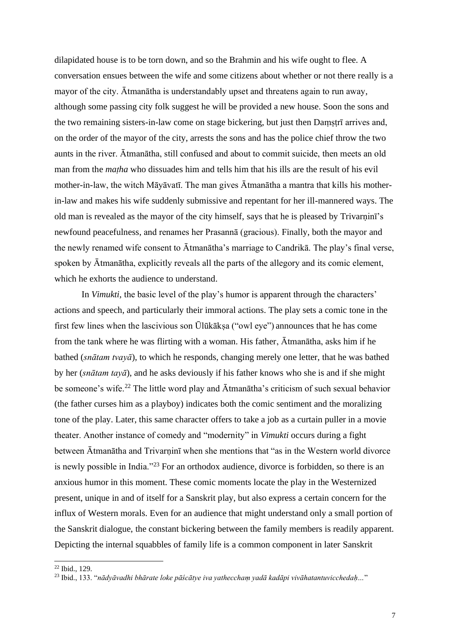dilapidated house is to be torn down, and so the Brahmin and his wife ought to flee. A conversation ensues between the wife and some citizens about whether or not there really is a mayor of the city. Ātmanātha is understandably upset and threatens again to run away, although some passing city folk suggest he will be provided a new house. Soon the sons and the two remaining sisters-in-law come on stage bickering, but just then Damstri arrives and, on the order of the mayor of the city, arrests the sons and has the police chief throw the two aunts in the river. Ātmanātha, still confused and about to commit suicide, then meets an old man from the *maṭha* who dissuades him and tells him that his ills are the result of his evil mother-in-law, the witch Māyāvatī. The man gives Ātmanātha a mantra that kills his motherin-law and makes his wife suddenly submissive and repentant for her ill-mannered ways. The old man is revealed as the mayor of the city himself, says that he is pleased by Trivarṇinī's newfound peacefulness, and renames her Prasannā (gracious). Finally, both the mayor and the newly renamed wife consent to Ātmanātha's marriage to Candrikā. The play's final verse, spoken by Ātmanātha, explicitly reveals all the parts of the allegory and its comic element, which he exhorts the audience to understand.

In *Vimukti*, the basic level of the play's humor is apparent through the characters' actions and speech, and particularly their immoral actions. The play sets a comic tone in the first few lines when the lascivious son Ūlūkākṣa ("owl eye") announces that he has come from the tank where he was flirting with a woman. His father, Ātmanātha, asks him if he bathed (*snātam tvayā*), to which he responds, changing merely one letter, that he was bathed by her (*snātam tayā*), and he asks deviously if his father knows who she is and if she might be someone's wife.<sup>22</sup> The little word play and Ātmanātha's criticism of such sexual behavior (the father curses him as a playboy) indicates both the comic sentiment and the moralizing tone of the play. Later, this same character offers to take a job as a curtain puller in a movie theater. Another instance of comedy and "modernity" in *Vimukti* occurs during a fight between Ātmanātha and Trivarṇinī when she mentions that "as in the Western world divorce is newly possible in India."<sup>23</sup> For an orthodox audience, divorce is forbidden, so there is an anxious humor in this moment. These comic moments locate the play in the Westernized present, unique in and of itself for a Sanskrit play, but also express a certain concern for the influx of Western morals. Even for an audience that might understand only a small portion of the Sanskrit dialogue, the constant bickering between the family members is readily apparent. Depicting the internal squabbles of family life is a common component in later Sanskrit

<sup>22</sup> Ibid., 129.

<sup>23</sup> Ibid., 133. "*nādyāvadhi bhārate loke pāścātye iva yathecchaṃ yadā kadāpi vivāhatantuvicchedaḥ…*"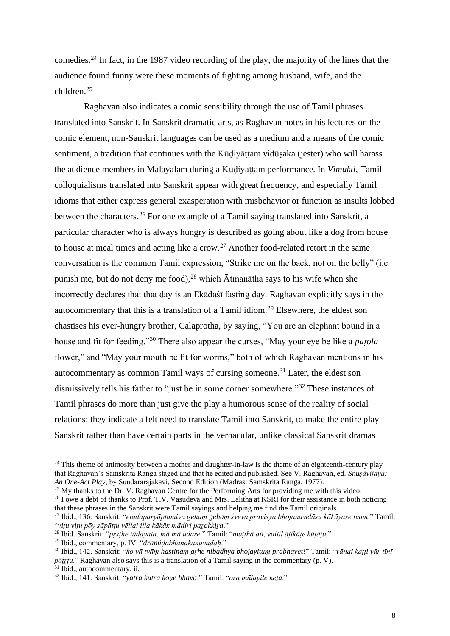comedies.<sup>24</sup> In fact, in the 1987 video recording of the play, the majority of the lines that the audience found funny were these moments of fighting among husband, wife, and the children.<sup>25</sup>

Raghavan also indicates a comic sensibility through the use of Tamil phrases translated into Sanskrit. In Sanskrit dramatic arts, as Raghavan notes in his lectures on the comic element, non-Sanskrit languages can be used as a medium and a means of the comic sentiment, a tradition that continues with the Kūḍiyāṭṭam vidūṣaka (jester) who will harass the audience members in Malayalam during a Kūḍiyāṭṭam performance. In *Vimukti*, Tamil colloquialisms translated into Sanskrit appear with great frequency, and especially Tamil idioms that either express general exasperation with misbehavior or function as insults lobbed between the characters.<sup>26</sup> For one example of a Tamil saying translated into Sanskrit, a particular character who is always hungry is described as going about like a dog from house to house at meal times and acting like a crow.<sup>27</sup> Another food-related retort in the same conversation is the common Tamil expression, "Strike me on the back, not on the belly" (i.e. punish me, but do not deny me food),  $^{28}$  which  $\bar{A}$ tman $\bar{a}$ tha says to his wife when she incorrectly declares that that day is an Ekādaśī fasting day. Raghavan explicitly says in the autocommentary that this is a translation of a Tamil idiom.<sup>29</sup> Elsewhere, the eldest son chastises his ever-hungry brother, Calaprotha, by saying, "You are an elephant bound in a house and fit for feeding."<sup>30</sup> There also appear the curses, "May your eye be like a *paṭola* flower," and "May your mouth be fit for worms," both of which Raghavan mentions in his autocommentary as common Tamil ways of cursing someone.<sup>31</sup> Later, the eldest son dismissively tells his father to "just be in some corner somewhere."<sup>32</sup> These instances of Tamil phrases do more than just give the play a humorous sense of the reality of social relations: they indicate a felt need to translate Tamil into Sanskrit, to make the entire play Sanskrit rather than have certain parts in the vernacular, unlike classical Sanskrit dramas

<sup>25</sup> My thanks to the Dr. V. Raghavan Centre for the Performing Arts for providing me with this video.

 $24$  This theme of animosity between a mother and daughter-in-law is the theme of an eighteenth-century play that Raghavan's Samskrita Ranga staged and that he edited and published. See V. Raghavan, ed. *Snuṣāvijaya: An One-Act Play*, by Sundararājakavi, Second Edition (Madras: Samskrita Ranga, 1977).

<sup>&</sup>lt;sup>26</sup> I owe a debt of thanks to Prof. T.V. Vasudeva and Mrs. Lalitha at KSRI for their assistance in both noticing that these phrases in the Sanskrit were Tamil sayings and helping me find the Tamil originals.

<sup>27</sup> Ibid., 136. Sanskrit: "*etadaparyāptamiva gehaṃ gehaṃ śveva praviśya bhojanavelāsu kākāyase tvam*." Tamil: "*viṭu viṭu pōy sāpāṭṭu vēllai illa kākāk mādiri paṟakkiṟa*."

<sup>28</sup> Ibid. Sanskrit: "*pṛṣṭhe tāḍayata, mā mā udare*." Tamil: "*muṭihā aṭi, vaiṭil āṭikāṭe kūṭāṭu*."

<sup>29</sup> Ibid., commentary, p. IV. "*dramiḍābhānakānuvādaḥ*."

<sup>30</sup> Ibid., 142. Sanskrit: "*ko vā tvāṃ hastinaṃ gṛhe nibadhya bhojayituṃ prabhavet!*" Tamil: "*yānai kaṭṭi yār tīnī pōṭṟṭu*." Raghavan also says this is a translation of a Tamil saying in the commentary (p. V).

<sup>&</sup>lt;sup>31</sup> Ibid., autocommentary, ii.

<sup>32</sup> Ibid., 141. Sanskrit: "*yatra kutra koṇe bhava*." Tamil: "*ora mūlayile keṭa*."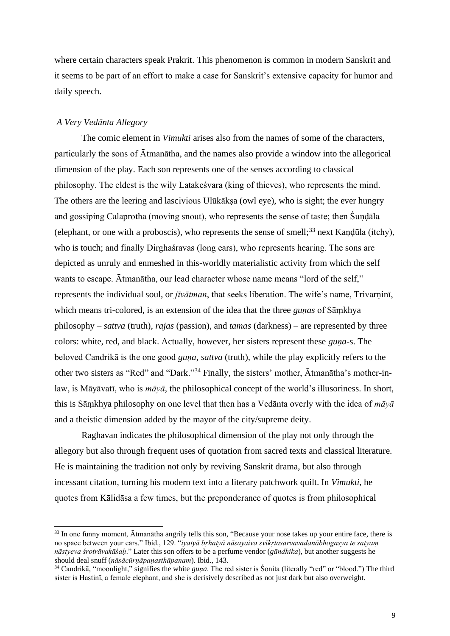where certain characters speak Prakrit. This phenomenon is common in modern Sanskrit and it seems to be part of an effort to make a case for Sanskrit's extensive capacity for humor and daily speech.

## *A Very Vedānta Allegory*

The comic element in *Vimukti* arises also from the names of some of the characters, particularly the sons of Ātmanātha, and the names also provide a window into the allegorical dimension of the play. Each son represents one of the senses according to classical philosophy. The eldest is the wily Latakeśvara (king of thieves), who represents the mind. The others are the leering and lascivious Ulūkākṣa (owl eye), who is sight; the ever hungry and gossiping Calaprotha (moving snout), who represents the sense of taste; then Śuṇḍāla (elephant, or one with a proboscis), who represents the sense of smell;<sup>33</sup> next Kaṇḍūla (itchy), who is touch; and finally Dirghaśravas (long ears), who represents hearing. The sons are depicted as unruly and enmeshed in this-worldly materialistic activity from which the self wants to escape. Ātmanātha, our lead character whose name means "lord of the self," represents the individual soul, or *jīvātman*, that seeks liberation. The wife's name, Trivarninī, which means tri-colored, is an extension of the idea that the three *guṇas* of Sāṃkhya philosophy – *sattva* (truth), *rajas* (passion), and *tamas* (darkness) – are represented by three colors: white, red, and black. Actually, however, her sisters represent these *guṇa-*s. The beloved Candrikā is the one good *guṇa*, *sattva* (truth), while the play explicitly refers to the other two sisters as "Red" and "Dark."<sup>34</sup> Finally, the sisters' mother, Ātmanātha's mother-inlaw, is Māyāvatī, who is *māyā*, the philosophical concept of the world's illusoriness. In short, this is Sāṃkhya philosophy on one level that then has a Vedānta overly with the idea of *māyā* and a theistic dimension added by the mayor of the city/supreme deity.

Raghavan indicates the philosophical dimension of the play not only through the allegory but also through frequent uses of quotation from sacred texts and classical literature. He is maintaining the tradition not only by reviving Sanskrit drama, but also through incessant citation, turning his modern text into a literary patchwork quilt. In *Vimukti*, he quotes from Kālidāsa a few times, but the preponderance of quotes is from philosophical

<sup>&</sup>lt;sup>33</sup> In one funny moment, Ātmanātha angrily tells this son, "Because your nose takes up your entire face, there is no space between your ears." Ibid., 129. "*iyatyā bṛhatyā nāsayaiva svīkṛtasarvavadanābhogasya te satyaṃ nāstyeva śrotrāvakāśaḥ*." Later this son offers to be a perfume vendor (*gāndhika*), but another suggests he should deal snuff (*nāsācūrṇāpaṇasthāpanam*). Ibid., 143.

<sup>&</sup>lt;sup>34</sup> Candrikā, "moonlight," signifies the white *guna*. The red sister is Sonita (literally "red" or "blood.") The third sister is Hastinī, a female elephant, and she is derisively described as not just dark but also overweight.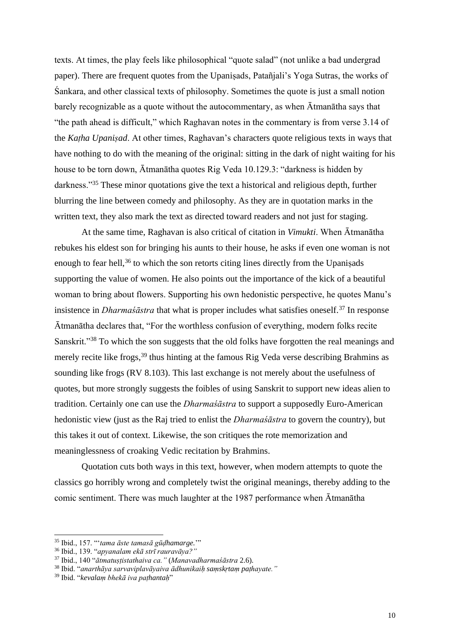texts. At times, the play feels like philosophical "quote salad" (not unlike a bad undergrad paper). There are frequent quotes from the Upaniṣads, Patañjali's Yoga Sutras, the works of Śankara, and other classical texts of philosophy. Sometimes the quote is just a small notion barely recognizable as a quote without the autocommentary, as when Ātmanātha says that "the path ahead is difficult," which Raghavan notes in the commentary is from verse 3.14 of the *Kaṭha Upaniṣad*. At other times, Raghavan's characters quote religious texts in ways that have nothing to do with the meaning of the original: sitting in the dark of night waiting for his house to be torn down, Ātmanātha quotes Rig Veda 10.129.3: "darkness is hidden by darkness."<sup>35</sup> These minor quotations give the text a historical and religious depth, further blurring the line between comedy and philosophy. As they are in quotation marks in the written text, they also mark the text as directed toward readers and not just for staging.

At the same time, Raghavan is also critical of citation in *Vimukti*. When Ātmanātha rebukes his eldest son for bringing his aunts to their house, he asks if even one woman is not enough to fear hell,  $36$  to which the son retorts citing lines directly from the Upanisads supporting the value of women. He also points out the importance of the kick of a beautiful woman to bring about flowers. Supporting his own hedonistic perspective, he quotes Manu's insistence in *Dharmasastra* that what is proper includes what satisfies oneself.<sup>37</sup> In response Ātmanātha declares that, "For the worthless confusion of everything, modern folks recite Sanskrit."<sup>38</sup> To which the son suggests that the old folks have forgotten the real meanings and merely recite like frogs,<sup>39</sup> thus hinting at the famous Rig Veda verse describing Brahmins as sounding like frogs (RV 8.103). This last exchange is not merely about the usefulness of quotes, but more strongly suggests the foibles of using Sanskrit to support new ideas alien to tradition. Certainly one can use the *Dharmaśāstra* to support a supposedly Euro-American hedonistic view (just as the Raj tried to enlist the *Dharmaśāstra* to govern the country), but this takes it out of context. Likewise, the son critiques the rote memorization and meaninglessness of croaking Vedic recitation by Brahmins.

Quotation cuts both ways in this text, however, when modern attempts to quote the classics go horribly wrong and completely twist the original meanings, thereby adding to the comic sentiment. There was much laughter at the 1987 performance when Ātmanātha

<sup>35</sup> Ibid., 157. "'*tama āste tamasā gūḍhamarge.*'"

<sup>36</sup> Ibid., 139. "*apyanalam ekā strī rauravāya?"*

<sup>37</sup> Ibid., 140 "*ātmatuṣṭistathaiva ca."* (*Manavadharmaśāstra* 2.6).

<sup>38</sup> Ibid. "*anarthāya sarvaviplavāyaiva ādhunikaiḥ saṃskṛtaṃ paṭhayate."*

<sup>39</sup> Ibid. "*kevalaṃ bhekā iva paṭhantaḥ*"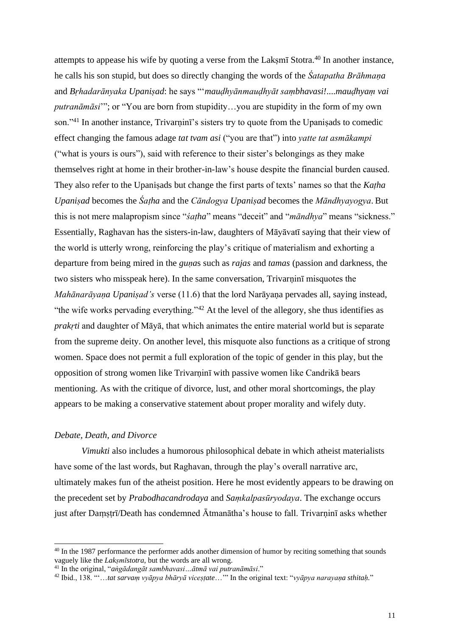attempts to appease his wife by quoting a verse from the Lakṣmī Stotra. <sup>40</sup> In another instance, he calls his son stupid, but does so directly changing the words of the *Śatapatha Brāhmaṇa* and *Bṛhadarānyaka Upaniṣad*: he says "'*mauḍhyānmauḍhyāt saṃbhavasi!*....*mauḍhyaṃ vai putranāmāsi*'"; or "You are born from stupidity…you are stupidity in the form of my own son."<sup>41</sup> In another instance, Trivarnini<sup>'</sup>s sisters try to quote from the Upanisads to comedic effect changing the famous adage *tat tvam asi* ("you are that") into *yatte tat asmākampi* ("what is yours is ours"), said with reference to their sister's belongings as they make themselves right at home in their brother-in-law's house despite the financial burden caused. They also refer to the Upaniṣads but change the first parts of texts' names so that the *Kaṭha Upaniṣad* becomes the *Śaṭha* and the *Cāndogya Upaniṣad* becomes the *Māndhyayogya*. But this is not mere malapropism since "*śaṭha*" means "deceit" and "*māndhya*" means "sickness." Essentially, Raghavan has the sisters-in-law, daughters of Māyāvatī saying that their view of the world is utterly wrong, reinforcing the play's critique of materialism and exhorting a departure from being mired in the *guṇa*s such as *rajas* and *tamas* (passion and darkness, the two sisters who misspeak here). In the same conversation, Trivarnini misquotes the *Mahānarāyaṇa Upaniṣad's* verse (11.6) that the lord Narāyaṇa pervades all, saying instead, "the wife works pervading everything."<sup>42</sup> At the level of the allegory, she thus identifies as *prakṛti* and daughter of Māyā, that which animates the entire material world but is separate from the supreme deity. On another level, this misquote also functions as a critique of strong women. Space does not permit a full exploration of the topic of gender in this play, but the opposition of strong women like Trivarninī with passive women like Candrikā bears mentioning. As with the critique of divorce, lust, and other moral shortcomings, the play appears to be making a conservative statement about proper morality and wifely duty.

## *Debate, Death, and Divorce*

*Vimukti* also includes a humorous philosophical debate in which atheist materialists have some of the last words, but Raghavan, through the play's overall narrative arc, ultimately makes fun of the atheist position. Here he most evidently appears to be drawing on the precedent set by *Prabodhacandrodaya* and *Saṃkalpasūryodaya*. The exchange occurs just after Daṃṣṭrī/Death has condemned Ātmanātha's house to fall. Trivarninī asks whether

<sup>&</sup>lt;sup>40</sup> In the 1987 performance the performer adds another dimension of humor by reciting something that sounds vaguely like the *Lakṣmīstotra*, but the words are all wrong.

<sup>41</sup> In the original, "*aṅgādangāt sambhavasi…ātmā vai putranāmāsi*."

<sup>42</sup> Ibid., 138. "'…*tat sarvaṃ vyāpya bhāryā viceṣṭate*…'" In the original text: "*vyāpya narayaṇa sthitaḥ.*"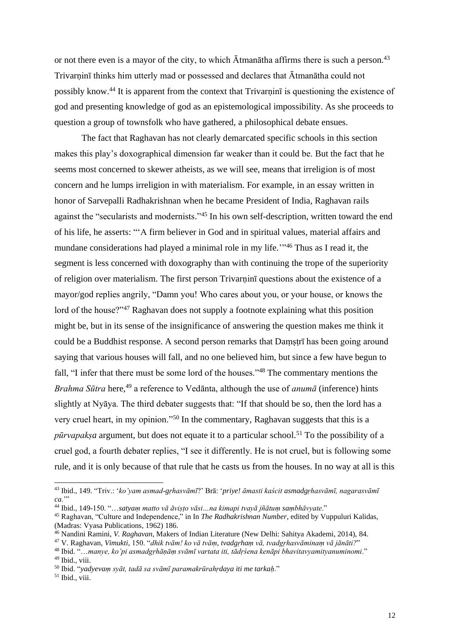or not there even is a mayor of the city, to which  $\bar{A}$ tmanātha affirms there is such a person.<sup>43</sup> Trivarninī thinks him utterly mad or possessed and declares that Atmanatha could not possibly know.<sup>44</sup> It is apparent from the context that Trivarnin<sub>1</sub> is questioning the existence of god and presenting knowledge of god as an epistemological impossibility. As she proceeds to question a group of townsfolk who have gathered, a philosophical debate ensues.

The fact that Raghavan has not clearly demarcated specific schools in this section makes this play's doxographical dimension far weaker than it could be. But the fact that he seems most concerned to skewer atheists, as we will see, means that irreligion is of most concern and he lumps irreligion in with materialism. For example, in an essay written in honor of Sarvepalli Radhakrishnan when he became President of India, Raghavan rails against the "secularists and modernists."<sup>45</sup> In his own self-description, written toward the end of his life, he asserts: "'A firm believer in God and in spiritual values, material affairs and mundane considerations had played a minimal role in my life."<sup>46</sup> Thus as I read it, the segment is less concerned with doxography than with continuing the trope of the superiority of religion over materialism. The first person Trivarṇinī questions about the existence of a mayor/god replies angrily, "Damn you! Who cares about you, or your house, or knows the lord of the house?"<sup>47</sup> Raghavan does not supply a footnote explaining what this position might be, but in its sense of the insignificance of answering the question makes me think it could be a Buddhist response. A second person remarks that Daṃṣṭrī has been going around saying that various houses will fall, and no one believed him, but since a few have begun to fall, "I infer that there must be some lord of the houses."<sup>48</sup> The commentary mentions the *Brahma Sūtra* here,<sup>49</sup> a reference to Vedānta, although the use of *anumā* (inference) hints slightly at Nyāya. The third debater suggests that: "If that should be so, then the lord has a very cruel heart, in my opinion."<sup>50</sup> In the commentary, Raghavan suggests that this is a *pūrvapakṣa* argument, but does not equate it to a particular school. <sup>51</sup> To the possibility of a cruel god, a fourth debater replies, "I see it differently. He is not cruel, but is following some rule, and it is only because of that rule that he casts us from the houses. In no way at all is this

<sup>43</sup> Ibid., 149. "Triv.: '*ko'yam asmad-gṛhasvāmī*?' Brā: '*priye! āmasti kaścit asmadgṛhasvāmī, nagarasvāmī ca*."

<sup>44</sup> Ibid., 149-150. "…*satyaṃ matto vā āviṣṭo vāsi…na kimapi tvayā jñātuṃ saṃbhāvyate*."

<sup>45</sup> Raghavan, "Culture and Independence," in In *The Radhakrishnan Number*, edited by Vuppuluri Kalidas, (Madras: Vyasa Publications, 1962) 186.

<sup>46</sup> Nandini Ramini, *V. Raghavan*, Makers of Indian Literature (New Delhi: Sahitya Akademi, 2014), 84.

<sup>47</sup> V. Raghavan, *Vimukti*, 150. "*dhik tvām! ko vā tvāṃ, tvadgṛhaṃ vā, tvadgṛhasvāminaṃ vā jānāti?*"

<sup>48</sup> Ibid. "…*manye, ko'pi asmadgṛhāṇāṃ svāmī vartata iti, tādṛśena kenāpi bhavitavyamityanuminomi*." <sup>49</sup> Ibid., viii.

<sup>50</sup> Ibid. "*yadyevaṃ syāt, tadā sa svāmī paramakrūrahṛdaya iti me tarkaḥ*."

 $51$  Ibid., viii.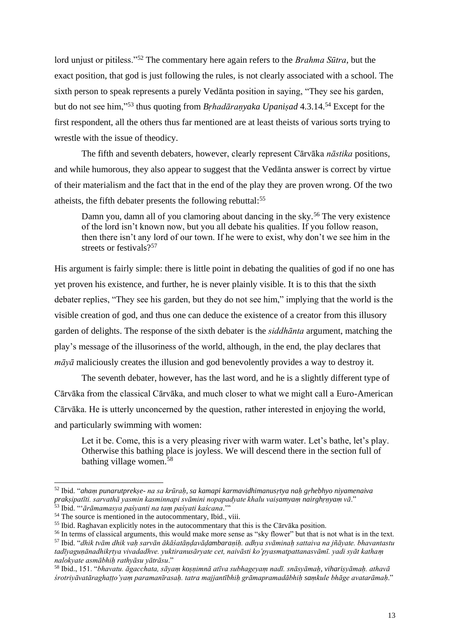lord unjust or pitiless."<sup>52</sup> The commentary here again refers to the *Brahma Sūtra*, but the exact position, that god is just following the rules, is not clearly associated with a school. The sixth person to speak represents a purely Vedānta position in saying, "They see his garden, but do not see him,"<sup>53</sup> thus quoting from *Brhadāranyaka Upanisad* 4.3.14.<sup>54</sup> Except for the first respondent, all the others thus far mentioned are at least theists of various sorts trying to wrestle with the issue of theodicy.

The fifth and seventh debaters, however, clearly represent Cārvāka *nāstika* positions, and while humorous, they also appear to suggest that the Vedānta answer is correct by virtue of their materialism and the fact that in the end of the play they are proven wrong. Of the two atheists, the fifth debater presents the following rebuttal: 55

Damn you, damn all of you clamoring about dancing in the sky.<sup>56</sup> The very existence of the lord isn't known now, but you all debate his qualities. If you follow reason, then there isn't any lord of our town. If he were to exist, why don't we see him in the streets or festivals?<sup>57</sup>

His argument is fairly simple: there is little point in debating the qualities of god if no one has yet proven his existence, and further, he is never plainly visible. It is to this that the sixth debater replies, "They see his garden, but they do not see him," implying that the world is the visible creation of god, and thus one can deduce the existence of a creator from this illusory garden of delights. The response of the sixth debater is the *siddhānta* argument, matching the play's message of the illusoriness of the world, although, in the end, the play declares that *māyā* maliciously creates the illusion and god benevolently provides a way to destroy it.

The seventh debater, however, has the last word, and he is a slightly different type of Cārvāka from the classical Cārvāka, and much closer to what we might call a Euro-American Cārvāka. He is utterly unconcerned by the question, rather interested in enjoying the world, and particularly swimming with women:

Let it be. Come, this is a very pleasing river with warm water. Let's bathe, let's play. Otherwise this bathing place is joyless. We will descend there in the section full of bathing village women.<sup>58</sup>

<sup>52</sup> Ibid. "*ahaṃ punarutprekṣe- na sa krūraḥ, sa kamapi karmavidhimanusṛtya naḥ gṛhebhyo niyamenaiva prakṣipatīti. sarvathā yasmin kasminnapi svāmini nopapadyate khalu vaiṣamyaṃ nairghṛṇyaṃ vā*." <sup>53</sup> Ibid. "'*ārāmamasya paśyanti na taṃ paśyati kaścana*.'"

<sup>&</sup>lt;sup>54</sup> The source is mentioned in the autocommentary, Ibid., viii.

<sup>&</sup>lt;sup>55</sup> Ibid. Raghavan explicitly notes in the autocommentary that this is the Cārvāka position.

<sup>56</sup> In terms of classical arguments, this would make more sense as "sky flower" but that is not what is in the text.

<sup>57</sup> Ibid. "*dhik tvām dhik vaḥ sarvān ākāśatāṇḍavāḍambaraṇiḥ. adhya svāminaḥ sattaiva na jñāyate. bhavantastu tadīyaguṇānadhikṛtya vivadadhve. yuktiranusāryate cet, naivāsti ko'pyasmatpattanasvāmī. yadi syāt kathaṃ nalokyate asmābhiḥ rathyāsu yātrāsu*."

<sup>58</sup> Ibid., 151. "*bhavatu. āgacchata, sāyaṃ koṣṇimnā atīva subhageyaṃ nadī. snāsyāmaḥ, vihariṣyāmaḥ. athavā śrotriyāvatāraghaṭṭo'yaṃ paramanīrasaḥ. tatra majjantībhiḥ grāmapramadābhiḥ saṃkule bhāge avatarāmaḥ*."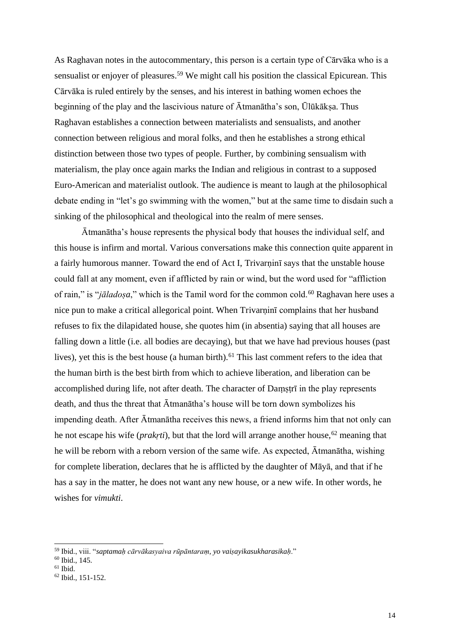As Raghavan notes in the autocommentary, this person is a certain type of Cārvāka who is a sensualist or enjoyer of pleasures.<sup>59</sup> We might call his position the classical Epicurean. This Cārvāka is ruled entirely by the senses, and his interest in bathing women echoes the beginning of the play and the lascivious nature of Ātmanātha's son, Ūlūkākṣa. Thus Raghavan establishes a connection between materialists and sensualists, and another connection between religious and moral folks, and then he establishes a strong ethical distinction between those two types of people. Further, by combining sensualism with materialism, the play once again marks the Indian and religious in contrast to a supposed Euro-American and materialist outlook. The audience is meant to laugh at the philosophical debate ending in "let's go swimming with the women," but at the same time to disdain such a sinking of the philosophical and theological into the realm of mere senses.

Ātmanātha's house represents the physical body that houses the individual self, and this house is infirm and mortal. Various conversations make this connection quite apparent in a fairly humorous manner. Toward the end of Act I, Trivarṇinī says that the unstable house could fall at any moment, even if afflicted by rain or wind, but the word used for "affliction of rain," is "*jāladosa*," which is the Tamil word for the common cold.<sup>60</sup> Raghavan here uses a nice pun to make a critical allegorical point. When Trivarninī complains that her husband refuses to fix the dilapidated house, she quotes him (in absentia) saying that all houses are falling down a little (i.e. all bodies are decaying), but that we have had previous houses (past lives), yet this is the best house (a human birth).<sup>61</sup> This last comment refers to the idea that the human birth is the best birth from which to achieve liberation, and liberation can be accomplished during life, not after death. The character of Damstri in the play represents death, and thus the threat that Ātmanātha's house will be torn down symbolizes his impending death. After Ātmanātha receives this news, a friend informs him that not only can he not escape his wife (*prakrti*), but that the lord will arrange another house,<sup>62</sup> meaning that he will be reborn with a reborn version of the same wife. As expected, Ātmanātha, wishing for complete liberation, declares that he is afflicted by the daughter of Māyā, and that if he has a say in the matter, he does not want any new house, or a new wife. In other words, he wishes for *vimukti*.

<sup>59</sup> Ibid., viii. "*saptamaḥ cārvākasyaiva rūpāntaraṃ, yo vaiṣayikasukharasikaḥ*."

<sup>60</sup> Ibid., 145.

 $61$  Ibid.

 $62$  Ibid., 151-152.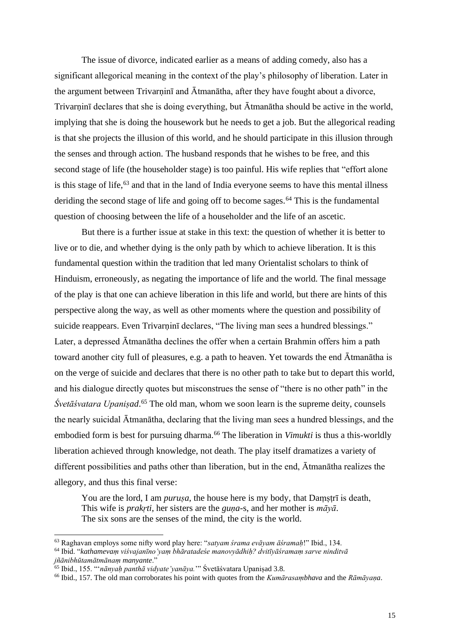The issue of divorce, indicated earlier as a means of adding comedy, also has a significant allegorical meaning in the context of the play's philosophy of liberation. Later in the argument between Trivarnini and Ātmanātha, after they have fought about a divorce, Trivarṇinī declares that she is doing everything, but Ātmanātha should be active in the world, implying that she is doing the housework but he needs to get a job. But the allegorical reading is that she projects the illusion of this world, and he should participate in this illusion through the senses and through action. The husband responds that he wishes to be free, and this second stage of life (the householder stage) is too painful. His wife replies that "effort alone is this stage of life, $63$  and that in the land of India everyone seems to have this mental illness deriding the second stage of life and going off to become sages.<sup>64</sup> This is the fundamental question of choosing between the life of a householder and the life of an ascetic.

But there is a further issue at stake in this text: the question of whether it is better to live or to die, and whether dying is the only path by which to achieve liberation. It is this fundamental question within the tradition that led many Orientalist scholars to think of Hinduism, erroneously, as negating the importance of life and the world. The final message of the play is that one can achieve liberation in this life and world, but there are hints of this perspective along the way, as well as other moments where the question and possibility of suicide reappears. Even Trivarninī declares, "The living man sees a hundred blessings." Later, a depressed Ātmanātha declines the offer when a certain Brahmin offers him a path toward another city full of pleasures, e.g. a path to heaven. Yet towards the end Ātmanātha is on the verge of suicide and declares that there is no other path to take but to depart this world, and his dialogue directly quotes but misconstrues the sense of "there is no other path" in the *Śvetāśvatara Upaniṣad*. <sup>65</sup> The old man, whom we soon learn is the supreme deity, counsels the nearly suicidal Ātmanātha, declaring that the living man sees a hundred blessings, and the embodied form is best for pursuing dharma.<sup>66</sup> The liberation in *Vimukti* is thus a this-worldly liberation achieved through knowledge, not death. The play itself dramatizes a variety of different possibilities and paths other than liberation, but in the end, Ātmanātha realizes the allegory, and thus this final verse:

You are the lord, I am *puruṣa*, the house here is my body, that Damṣṭrī is death, This wife is *prakṛti*, her sisters are the *guṇa-*s, and her mother is *māyā*. The six sons are the senses of the mind, the city is the world.

<sup>63</sup> Raghavan employs some nifty word play here: "*satyam śrama evāyam āśramaḥ*!" Ibid., 134.

<sup>64</sup> Ibid. "*kathamevaṃ viśvajanīno'yaṃ bhāratadeśe manovyādhiḥ? dvitīyāśramaṃ sarve ninditvā* 

*jñānibhūtamātmānaṃ manyante*."

<sup>65</sup> Ibid., 155. "'*nānyaḥ panthā vidyate'yanāya.*'" Śvetāśvatara Upaniṣad 3.8.

<sup>66</sup> Ibid., 157. The old man corroborates his point with quotes from the *Kumārasaṃbhava* and the *Rāmāyaṇa*.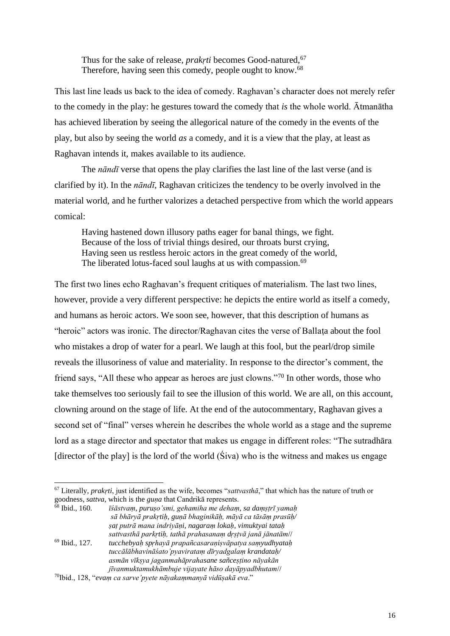Thus for the sake of release, *prakrti* becomes Good-natured,<sup>67</sup> Therefore, having seen this comedy, people ought to know.<sup>68</sup>

This last line leads us back to the idea of comedy. Raghavan's character does not merely refer to the comedy in the play: he gestures toward the comedy that *is* the whole world. Ātmanātha has achieved liberation by seeing the allegorical nature of the comedy in the events of the play, but also by seeing the world *as* a comedy, and it is a view that the play, at least as Raghavan intends it, makes available to its audience.

The *nāndī* verse that opens the play clarifies the last line of the last verse (and is clarified by it). In the *nāndī*, Raghavan criticizes the tendency to be overly involved in the material world, and he further valorizes a detached perspective from which the world appears comical:

Having hastened down illusory paths eager for banal things, we fight. Because of the loss of trivial things desired, our throats burst crying, Having seen us restless heroic actors in the great comedy of the world, The liberated lotus-faced soul laughs at us with compassion.<sup>69</sup>

The first two lines echo Raghavan's frequent critiques of materialism. The last two lines, however, provide a very different perspective: he depicts the entire world as itself a comedy, and humans as heroic actors. We soon see, however, that this description of humans as "heroic" actors was ironic. The director/Raghavan cites the verse of Ballata about the fool who mistakes a drop of water for a pearl. We laugh at this fool, but the pearl/drop simile reveals the illusoriness of value and materiality. In response to the director's comment, the friend says, "All these who appear as heroes are just clowns."<sup>70</sup> In other words, those who take themselves too seriously fail to see the illusion of this world. We are all, on this account, clowning around on the stage of life. At the end of the autocommentary, Raghavan gives a second set of "final" verses wherein he describes the whole world as a stage and the supreme lord as a stage director and spectator that makes us engage in different roles: "The sutradhāra [director of the play] is the lord of the world (Śiva) who is the witness and makes us engage

<sup>67</sup> Literally, *prakṛti*, just identified as the wife, becomes "*sattvasthā*," that which has the nature of truth or goodness, *sattva*, which is the *guna* that Candrikā represents.<br><sup>68</sup> Ibid., 160. *īśāstvam, puruso'smi, gehamiha me deham*.

<sup>68</sup> Ibid., 160. *īśāstvaṃ, puruṣo'smi, gehamiha me dehaṃ, sa daṃṣṭrī yamaḥ sā bhāryā prakṛtiḥ, guṇā bhaginikāḥ, māyā ca tāsāṃ prasūḥ/ ṣaṭ putrā mana indriyāṇi, nagaraṃ lokaḥ, vimuktyai tataḥ sattvasthā parkṛtiḥ, tathā prahasanaṃ dṛṣṭvā janā jānatām*// <sup>69</sup> Ibid., 127. *tucchebyaḥ spṛhayā prapañcasaraṇiṣvāpatya saṃyudhyataḥ*

*tuccālābhavināśato'pyavirataṃ dīryadgalaṃ krandataḥ/ asmān vīkṣya jaganmahāprahasane sañceṣṭino nāyakān jīvanmuktamukhāmbuje vijayate hāso dayāpyadbhutam*//

<sup>70</sup>Ibid., 128, "*evaṃ ca sarve'pyete nāyakaṃmanyā vidūṣakā eva*."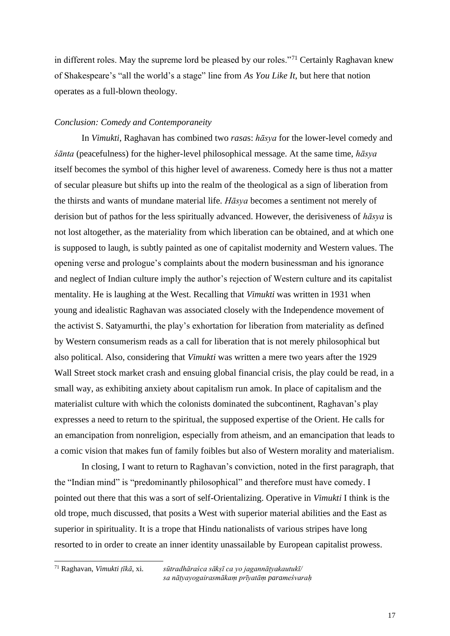in different roles. May the supreme lord be pleased by our roles."<sup>71</sup> Certainly Raghavan knew of Shakespeare's "all the world's a stage" line from *As You Like It*, but here that notion operates as a full-blown theology.

## *Conclusion: Comedy and Contemporaneity*

In *Vimukti*, Raghavan has combined two *rasa*s: *hāsya* for the lower-level comedy and *śānta* (peacefulness) for the higher-level philosophical message. At the same time, *hāsya* itself becomes the symbol of this higher level of awareness. Comedy here is thus not a matter of secular pleasure but shifts up into the realm of the theological as a sign of liberation from the thirsts and wants of mundane material life. *Hāsya* becomes a sentiment not merely of derision but of pathos for the less spiritually advanced. However, the derisiveness of *hāsya* is not lost altogether, as the materiality from which liberation can be obtained, and at which one is supposed to laugh, is subtly painted as one of capitalist modernity and Western values. The opening verse and prologue's complaints about the modern businessman and his ignorance and neglect of Indian culture imply the author's rejection of Western culture and its capitalist mentality. He is laughing at the West. Recalling that *Vimukti* was written in 1931 when young and idealistic Raghavan was associated closely with the Independence movement of the activist S. Satyamurthi, the play's exhortation for liberation from materiality as defined by Western consumerism reads as a call for liberation that is not merely philosophical but also political. Also, considering that *Vimukti* was written a mere two years after the 1929 Wall Street stock market crash and ensuing global financial crisis, the play could be read, in a small way, as exhibiting anxiety about capitalism run amok. In place of capitalism and the materialist culture with which the colonists dominated the subcontinent, Raghavan's play expresses a need to return to the spiritual, the supposed expertise of the Orient. He calls for an emancipation from nonreligion, especially from atheism, and an emancipation that leads to a comic vision that makes fun of family foibles but also of Western morality and materialism.

In closing, I want to return to Raghavan's conviction, noted in the first paragraph, that the "Indian mind" is "predominantly philosophical" and therefore must have comedy. I pointed out there that this was a sort of self-Orientalizing. Operative in *Vimukti* I think is the old trope, much discussed, that posits a West with superior material abilities and the East as superior in spirituality. It is a trope that Hindu nationalists of various stripes have long resorted to in order to create an inner identity unassailable by European capitalist prowess.

<sup>71</sup> Raghavan, *Vimukti ṭīkā*, xi. *sūtradhāraśca sākṣī ca yo jagannāṭyakautukī/ sa nāṭyayogairasmākaṃ prīyatāṃ parameśvaraḥ*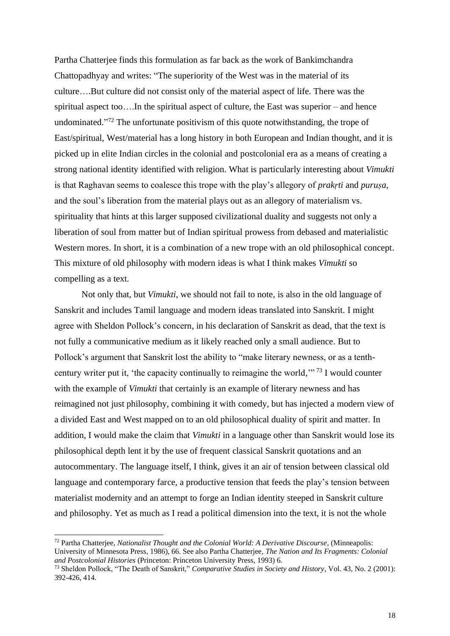Partha Chatterjee finds this formulation as far back as the work of Bankimchandra Chattopadhyay and writes: "The superiority of the West was in the material of its culture….But culture did not consist only of the material aspect of life. There was the spiritual aspect too….In the spiritual aspect of culture, the East was superior – and hence undominated."<sup>72</sup> The unfortunate positivism of this quote notwithstanding, the trope of East/spiritual, West/material has a long history in both European and Indian thought, and it is picked up in elite Indian circles in the colonial and postcolonial era as a means of creating a strong national identity identified with religion. What is particularly interesting about *Vimukti* is that Raghavan seems to coalesce this trope with the play's allegory of *prakṛti* and *puruṣa*, and the soul's liberation from the material plays out as an allegory of materialism vs. spirituality that hints at this larger supposed civilizational duality and suggests not only a liberation of soul from matter but of Indian spiritual prowess from debased and materialistic Western mores. In short, it is a combination of a new trope with an old philosophical concept. This mixture of old philosophy with modern ideas is what I think makes *Vimukti* so compelling as a text.

Not only that, but *Vimukti*, we should not fail to note, is also in the old language of Sanskrit and includes Tamil language and modern ideas translated into Sanskrit. I might agree with Sheldon Pollock's concern, in his declaration of Sanskrit as dead, that the text is not fully a communicative medium as it likely reached only a small audience. But to Pollock's argument that Sanskrit lost the ability to "make literary newness, or as a tenthcentury writer put it, 'the capacity continually to reimagine the world,"<sup>73</sup> I would counter with the example of *Vimukti* that certainly is an example of literary newness and has reimagined not just philosophy, combining it with comedy, but has injected a modern view of a divided East and West mapped on to an old philosophical duality of spirit and matter. In addition, I would make the claim that *Vimukti* in a language other than Sanskrit would lose its philosophical depth lent it by the use of frequent classical Sanskrit quotations and an autocommentary. The language itself, I think, gives it an air of tension between classical old language and contemporary farce, a productive tension that feeds the play's tension between materialist modernity and an attempt to forge an Indian identity steeped in Sanskrit culture and philosophy. Yet as much as I read a political dimension into the text, it is not the whole

<sup>72</sup> Partha Chatterjee, *Nationalist Thought and the Colonial World: A Derivative Discourse*, (Minneapolis: University of Minnesota Press, 1986), 66. See also Partha Chatterjee, *The Nation and Its Fragments: Colonial and Postcolonial Histories* (Princeton: Princeton University Press, 1993) 6.

<sup>73</sup> Sheldon Pollock, "The Death of Sanskrit," *Comparative Studies in Society and History*, Vol. 43, No. 2 (2001): 392-426, 414.